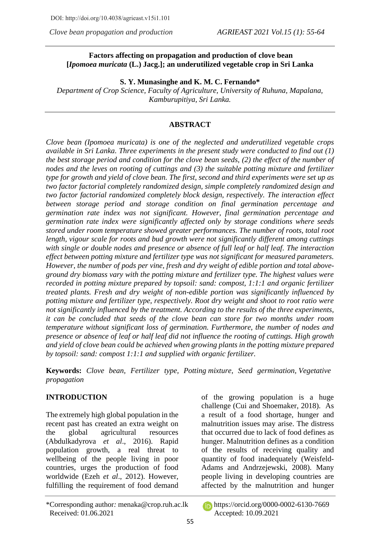*Clove bean propagation and production AGRIEAST 2021 Vol.15 (1): 55-64*

## **Factors affecting on propagation and production of clove bean [***Ipomoea muricata* **(L.) Jacg.]; an underutilized vegetable crop in Sri Lanka**

#### **S. Y. Munasinghe and K. M. C. Fernando\***

*Department of Crop Science, Faculty of Agriculture, University of Ruhuna, Mapalana, Kamburupitiya, Sri Lanka.*

### **ABSTRACT**

*Clove bean (Ipomoea muricata) is one of the neglected and underutilized vegetable crops available in Sri Lanka. Three experiments in the present study were conducted to find out (1) the best storage period and condition for the clove bean seeds, (2) the effect of the number of nodes and the leves on rooting of cuttings and (3) the suitable potting mixture and fertilizer type for growth and yield of clove bean. The first, second and third experiments were set up as two factor factorial completely randomized design, simple completely randomized design and two factor factorial randomized completely block design, respectively. The interaction effect between storage period and storage condition on final germination percentage and germination rate index was not significant. However, final germination percentage and germination rate index were significantly affected only by storage conditions where seeds stored under room temperature showed greater performances. The number of roots, total root length, vigour scale for roots and bud growth were not significantly different among cuttings with single or double nodes and presence or absence of full leaf or half leaf. The interaction effect between potting mixture and fertilizer type was not significant for measured parameters. However, the number of pods per vine, fresh and dry weight of edible portion and total aboveground dry biomass vary with the potting mixture and fertilizer type. The highest values were recorded in potting mixture prepared by topsoil: sand: compost, 1:1:1 and organic fertilizer treated plants. Fresh and dry weight of non-edible portion was significantly influenced by potting mixture and fertilizer type, respectively. Root dry weight and shoot to root ratio were not significantly influenced by the treatment. According to the results of the three experiments, it can be concluded that seeds of the clove bean can store for two months under room temperature without significant loss of germination. Furthermore, the number of nodes and presence or absence of leaf or half leaf did not influence the rooting of cuttings. High growth and yield of clove bean could be achieved when growing plants in the potting mixture prepared by topsoil: sand: compost 1:1:1 and supplied with organic fertilizer.*

**Keywords:** *Clove bean, Fertilizer type, Potting mixture, Seed germination, Vegetative propagation*

# **INTRODUCTION**

The extremely high global population in the recent past has created an extra weight on the global agricultural resources (Abdulkadyrova *et al*., 2016). Rapid population growth, a real threat to wellbeing of the people living in poor countries, urges the production of food worldwide (Ezeh *et al*., 2012). However, fulfilling the requirement of food demand of the growing population is a huge challenge (Cui and Shoemaker, 2018). As a result of a food shortage, hunger and malnutrition issues may arise. The distress that occurred due to lack of food defines as hunger. Malnutrition defines as a condition of the results of receiving quality and quantity of food inadequately (Weisfeld-Adams and Andrzejewski, 2008). Many people living in developing countries are affected by the malnutrition and hunger

<sup>\*</sup>Corresponding author: menaka@crop.ruh.ac.lk https://orcid.org[/0000-0002-6130-7669](https://orcid.org/0000-0002-6130-7669) Received: 01.06.2021 Accepted: 10.09.2021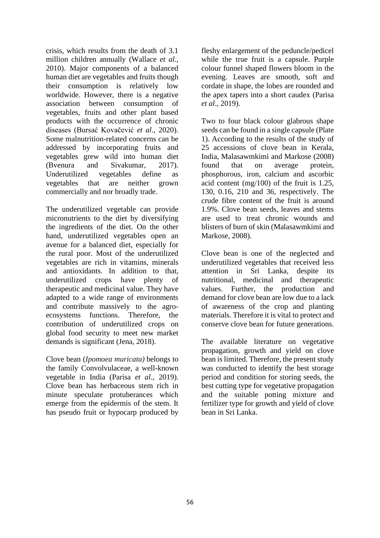crisis, which results from the death of 3.1 million children annually (Wallace *et al.*, 2010). Major components of a balanced human diet are vegetables and fruits though their consumption is relatively low worldwide. However, there is a negative association between consumption of vegetables, fruits and other plant based products with the occurrence of chronic diseases (Bursać Kovačević *et al*., 2020). Some malnutrition-related concerns can be addressed by incorporating fruits and vegetables grew wild into human diet (Bvenura and Sivakumar, 2017). Underutilized vegetables define as vegetables that are neither grown commercially and nor broadly trade.

The underutilized vegetable can provide micronutrients to the diet by diversifying the ingredients of the diet. On the other hand, underutilized vegetables open an avenue for a balanced diet, especially for the rural poor. Most of the underutilized vegetables are rich in vitamins, minerals and antioxidants. In addition to that, underutilized crops have plenty of therapeutic and medicinal value. They have adapted to a wide range of environments and contribute massively to the agroecosystems functions. Therefore, the contribution of underutilized crops on global food security to meet new market demands is significant (Jena, 2018).

Clove bean (*Ipomoea muricata)* belongs to the family Convolvulaceae, a well-known vegetable in India (Parisa *et al*., 2019). Clove bean has herbaceous stem rich in minute speculate protuberances which emerge from the epidermis of the stem. It has pseudo fruit or hypocarp produced by fleshy enlargement of the peduncle/pedicel while the true fruit is a capsule. Purple colour funnel shaped flowers bloom in the evening. Leaves are smooth, soft and cordate in shape, the lobes are rounded and the apex tapers into a short caudex (Parisa *et al*., 2019).

Two to four black colour glabrous shape seeds can be found in a single capsule (Plate 1). According to the results of the study of 25 accessions of clove bean in Kerala, India, Malasawmkimi and Markose (2008) found that on average protein, phosphorous, iron, calcium and ascorbic acid content (mg/100) of the fruit is 1.25, 130, 0.16, 210 and 36, respectively. The crude fibre content of the fruit is around 1.9%. Clove bean seeds, leaves and stems are used to treat chronic wounds and blisters of burn of skin (Malasawmkimi and Markose, 2008).

Clove bean is one of the neglected and underutilized vegetables that received less attention in Sri Lanka, despite its nutritional, medicinal and therapeutic values. Further, the production and demand for clove bean are low due to a lack of awareness of the crop and planting materials. Therefore it is vital to protect and conserve clove bean for future generations.

The available literature on vegetative propagation, growth and yield on clove bean is limited. Therefore, the present study was conducted to identify the best storage period and condition for storing seeds, the best cutting type for vegetative propagation and the suitable potting mixture and fertilizer type for growth and yield of clove bean in Sri Lanka.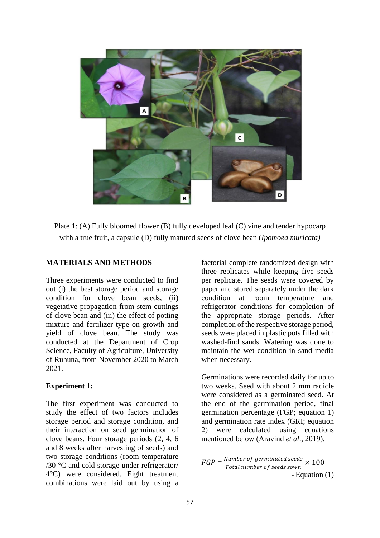

Plate 1: (A) Fully bloomed flower (B) fully developed leaf (C) vine and tender hypocarp with a true fruit, a capsule (D) fully matured seeds of clove bean (*Ipomoea muricata)*

### **MATERIALS AND METHODS**

Three experiments were conducted to find out (i) the best storage period and storage condition for clove bean seeds, (ii) vegetative propagation from stem cuttings of clove bean and (iii) the effect of potting mixture and fertilizer type on growth and yield of clove bean. The study was conducted at the Department of Crop Science, Faculty of Agriculture, University of Ruhuna, from November 2020 to March 2021.

### **Experiment 1:**

The first experiment was conducted to study the effect of two factors includes storage period and storage condition, and their interaction on seed germination of clove beans. Four storage periods (2, 4, 6 and 8 weeks after harvesting of seeds) and two storage conditions (room temperature /30 °C and cold storage under refrigerator/ 4°C) were considered. Eight treatment combinations were laid out by using a factorial complete randomized design with three replicates while keeping five seeds per replicate. The seeds were covered by paper and stored separately under the dark condition at room temperature and refrigerator conditions for completion of the appropriate storage periods. After completion of the respective storage period, seeds were placed in plastic pots filled with washed-find sands. Watering was done to maintain the wet condition in sand media when necessary.

Germinations were recorded daily for up to two weeks. Seed with about 2 mm radicle were considered as a germinated seed. At the end of the germination period, final germination percentage (FGP; equation 1) and germination rate index (GRI; equation 2) were calculated using equations mentioned below (Aravind *et al*., 2019).

$$
FGP = \frac{Number\ of\ germinated\ seeds}{Total\ number\ of\ seeds\ sound} \times 100
$$
  
- Equation (1)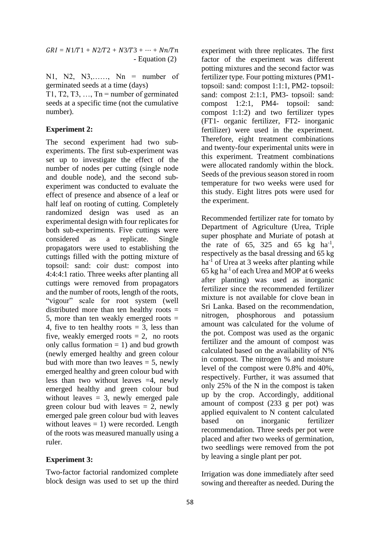$GRI = N1/T1 + N2/T2 + N3/T3 + \cdots + Nn/Tn$ - Equation (2)

N1, N2, N3,……, Nn = number of germinated seeds at a time (days)

T1, T2, T3,  $\dots$ , Tn = number of germinated seeds at a specific time (not the cumulative number).

## **Experiment 2:**

The second experiment had two subexperiments. The first sub-experiment was set up to investigate the effect of the number of nodes per cutting (single node and double node), and the second subexperiment was conducted to evaluate the effect of presence and absence of a leaf or half leaf on rooting of cutting. Completely randomized design was used as an experimental design with four replicates for both sub-experiments. Five cuttings were considered as a replicate. Single propagators were used to establishing the cuttings filled with the potting mixture of topsoil: sand: coir dust: compost into 4:4:4:1 ratio. Three weeks after planting all cuttings were removed from propagators and the number of roots, length of the roots, "vigour" scale for root system (well distributed more than ten healthy roots  $=$ 5, more than ten weakly emerged roots  $=$ 4, five to ten healthy roots  $= 3$ , less than five, weakly emerged roots  $= 2$ , no roots only callus formation  $= 1$ ) and bud growth (newly emerged healthy and green colour bud with more than two leaves  $= 5$ , newly emerged healthy and green colour bud with less than two without leaves  $=4$ , newly emerged healthy and green colour bud without leaves  $= 3$ , newly emerged pale green colour bud with leaves  $= 2$ , newly emerged pale green colour bud with leaves without leaves  $= 1$ ) were recorded. Length of the roots was measured manually using a ruler.

# **Experiment 3:**

Two-factor factorial randomized complete block design was used to set up the third experiment with three replicates. The first factor of the experiment was different potting mixtures and the second factor was fertilizer type. Four potting mixtures (PM1 topsoil: sand: compost 1:1:1, PM2- topsoil: sand: compost 2:1:1, PM3- topsoil: sand: compost 1:2:1, PM4- topsoil: sand: compost 1:1:2) and two fertilizer types (FT1- organic fertilizer, FT2- inorganic fertilizer) were used in the experiment. Therefore, eight treatment combinations and twenty-four experimental units were in this experiment. Treatment combinations were allocated randomly within the block. Seeds of the previous season stored in room temperature for two weeks were used for this study. Eight litres pots were used for the experiment.

Recommended fertilizer rate for tomato by Department of Agriculture (Urea, Triple super phosphate and Muriate of potash at the rate of  $65$ ,  $325$  and  $65$  kg ha<sup>-1</sup>, respectively as the basal dressing and 65 kg  $ha^{-1}$  of Urea at 3 weeks after planting while  $65$  kg ha<sup>-1</sup> of each Urea and MOP at 6 weeks after planting) was used as inorganic fertilizer since the recommended fertilizer mixture is not available for clove bean in Sri Lanka. Based on the recommendation, nitrogen, phosphorous and potassium amount was calculated for the volume of the pot. Compost was used as the organic fertilizer and the amount of compost was calculated based on the availability of N% in compost. The nitrogen % and moisture level of the compost were 0.8% and 40%, respectively. Further, it was assumed that only 25% of the N in the compost is taken up by the crop. Accordingly, additional amount of compost (233 g per pot) was applied equivalent to N content calculated based on inorganic fertilizer recommendation. Three seeds per pot were placed and after two weeks of germination, two seedlings were removed from the pot by leaving a single plant per pot.

Irrigation was done immediately after seed sowing and thereafter as needed. During the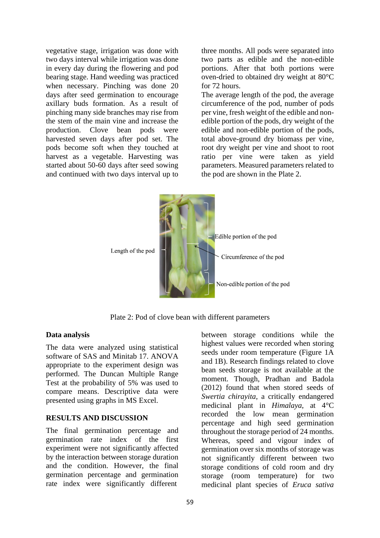vegetative stage, irrigation was done with two days interval while irrigation was done in every day during the flowering and pod bearing stage. Hand weeding was practiced when necessary. Pinching was done 20 days after seed germination to encourage axillary buds formation. As a result of pinching many side branches may rise from the stem of the main vine and increase the production. Clove bean pods were harvested seven days after pod set. The pods become soft when they touched at harvest as a vegetable. Harvesting was started about 50-60 days after seed sowing and continued with two days interval up to three months. All pods were separated into two parts as edible and the non-edible portions. After that both portions were oven-dried to obtained dry weight at 80°C for 72 hours.

The average length of the pod, the average circumference of the pod, number of pods per vine, fresh weight of the edible and nonedible portion of the pods, dry weight of the edible and non-edible portion of the pods, total above-ground dry biomass per vine, root dry weight per vine and shoot to root ratio per vine were taken as yield parameters. Measured parameters related to the pod are shown in the Plate 2.



Plate 2: Pod of clove bean with different parameters

### **Data analysis**

The data were analyzed using statistical software of SAS and Minitab 17. ANOVA appropriate to the experiment design was performed. The Duncan Multiple Range Test at the probability of 5% was used to compare means. Descriptive data were presented using graphs in MS Excel.

### **RESULTS AND DISCUSSION**

The final germination percentage and germination rate index of the first experiment were not significantly affected by the interaction between storage duration and the condition. However, the final germination percentage and germination rate index were significantly different

59

between storage conditions while the highest values were recorded when storing seeds under room temperature (Figure 1A and 1B). Research findings related to clove bean seeds storage is not available at the moment. Though, Pradhan and Badola (2012) found that when stored seeds of *Swertia chirayita*, a critically endangered medicinal plant in *Himalaya*, at 4°C recorded the low mean germination percentage and high seed germination throughout the storage period of 24 months. Whereas, speed and vigour index of germination over six months of storage was not significantly different between two storage conditions of cold room and dry storage (room temperature) for two medicinal plant species of *Eruca sativa*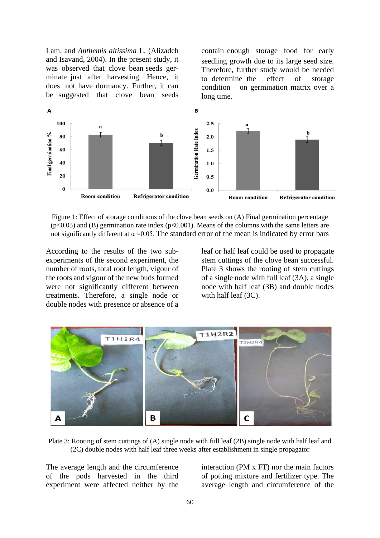Lam. and *Anthemis altissima* L. (Alizadeh and Isavand, 2004). In the present study, it was observed that clove bean seeds germinate just after harvesting. Hence, it does not have dormancy. Further, it can be suggested that clove bean seeds contain enough storage food for early seedling growth due to its large seed size. Therefore, further study would be needed to determine the effect of storage condition on germination matrix over a long time.



Figure 1: Effect of storage conditions of the clove bean seeds on (A) Final germination percentage  $(p<0.05)$  and (B) germination rate index ( $p<0.001$ ). Means of the columns with the same letters are not significantly different at  $\alpha$  =0.05. The standard error of the mean is indicated by error bars

According to the results of the two subexperiments of the second experiment, the number of roots, total root length, vigour of the roots and vigour of the new buds formed were not significantly different between treatments. Therefore, a single node or double nodes with presence or absence of a leaf or half leaf could be used to propagate stem cuttings of the clove bean successful. Plate 3 shows the rooting of stem cuttings of a single node with full leaf (3A), a single node with half leaf (3B) and double nodes with half leaf (3C).



Plate 3: Rooting of stem cuttings of (A) single node with full leaf (2B) single node with half leaf and (2C) double nodes with half leaf three weeks after establishment in single propagator

The average length and the circumference of the pods harvested in the third experiment were affected neither by the

interaction (PM x FT) nor the main factors of potting mixture and fertilizer type. The average length and circumference of the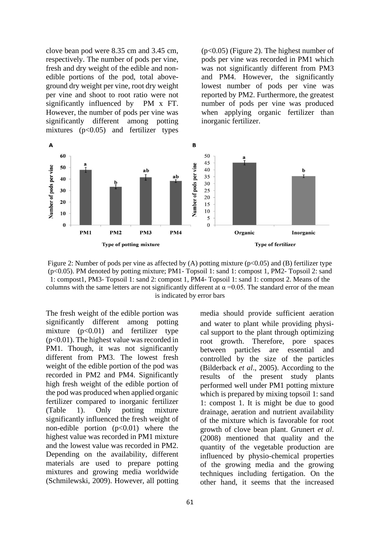clove bean pod were 8.35 cm and 3.45 cm, respectively. The number of pods per vine, fresh and dry weight of the edible and nonedible portions of the pod, total aboveground dry weight per vine, root dry weight per vine and shoot to root ratio were not significantly influenced by PM x FT. However, the number of pods per vine was significantly different among potting mixtures  $(p<0.05)$  and fertilizer types

(p<0.05) (Figure 2). The highest number of pods per vine was recorded in PM1 which was not significantly different from PM3 and PM4. However, the significantly lowest number of pods per vine was reported by PM2. Furthermore, the greatest number of pods per vine was produced when applying organic fertilizer than inorganic fertilizer.



Figure 2: Number of pods per vine as affected by (A) potting mixture ( $p<0.05$ ) and (B) fertilizer type (p<0.05). PM denoted by potting mixture; PM1- Topsoil 1: sand 1: compost 1, PM2- Topsoil 2: sand 1: compost1, PM3- Topsoil 1: sand 2: compost 1, PM4- Topsoil 1: sand 1: compost 2. Means of the columns with the same letters are not significantly different at  $\alpha = 0.05$ . The standard error of the mean is indicated by error bars

The fresh weight of the edible portion was significantly different among potting mixture  $(p<0.01)$  and fertilizer type (p<0.01). The highest value was recorded in PM1. Though, it was not significantly different from PM3. The lowest fresh weight of the edible portion of the pod was recorded in PM2 and PM4. Significantly high fresh weight of the edible portion of the pod was produced when applied organic fertilizer compared to inorganic fertilizer (Table 1). Only potting mixture significantly influenced the fresh weight of non-edible portion  $(p<0.01)$  where the highest value was recorded in PM1 mixture and the lowest value was recorded in PM2. Depending on the availability, different materials are used to prepare potting mixtures and growing media worldwide (Schmilewski, 2009). However, all potting media should provide sufficient aeration and water to plant while providing physical support to the plant through optimizing root growth. Therefore, pore spaces between particles are essential and controlled by the size of the particles (Bilderback *et al*., 2005). According to the results of the present study plants performed well under PM1 potting mixture which is prepared by mixing topsoil 1: sand 1: compost 1. It is might be due to good drainage, aeration and nutrient availability of the mixture which is favorable for root growth of clove bean plant. Grunert *et al*. (2008) mentioned that quality and the quantity of the vegetable production are influenced by physio-chemical properties of the growing media and the growing techniques including fertigation. On the other hand, it seems that the increased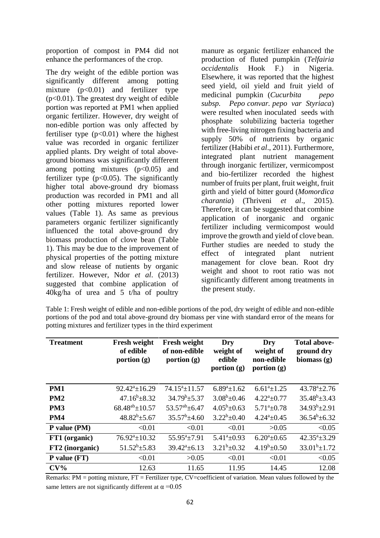proportion of compost in PM4 did not enhance the performances of the crop.

The dry weight of the edible portion was significantly different among potting mixture  $(p<0.01)$  and fertilizer type  $(p<0.01)$ . The greatest dry weight of edible portion was reported at PM1 when applied organic fertilizer. However, dry weight of non-edible portion was only affected by fertiliser type  $(p<0.01)$  where the highest value was recorded in organic fertilizer applied plants. Dry weight of total aboveground biomass was significantly different among potting mixtures  $(p<0.05)$  and fertilizer type  $(p<0.05)$ . The significantly higher total above-ground dry biomass production was recorded in PM1 and all other potting mixtures reported lower values (Table 1). As same as previous parameters organic fertilizer significantly influenced the total above-ground dry biomass production of clove bean (Table 1). This may be due to the improvement of physical properties of the potting mixture and slow release of nutients by organic fertilizer. However, Ndor *et al*. (2013) suggested that combine application of 40kg/ha of urea and 5 t/ha of poultry

manure as organic fertilizer enhanced the production of fluted pumpkin (*Telfairia occidentalis* Hook F.) in Nigeria. Elsewhere, it was reported that the highest seed yield, oil yield and fruit yield of medicinal pumpkin (*Cucurbita pepo subsp. Pepo convar. pepo var Styriaca*) were resulted when inoculated seeds with phosphate solubilizing bacteria together with free-living nitrogen fixing bacteria and supply 50% of nutrients by organic fertilizer (Habibi *et al*., 2011). Furthermore, integrated plant nutrient management through inorganic fertilizer, vermicompost and bio-fertilizer recorded the highest number of fruits per plant, fruit weight, fruit girth and yield of bitter gourd (*Momordica charantia*) (Thriveni *et al*., 2015). Therefore, it can be suggested that combine application of inorganic and organic fertilizer including vermicompost would improve the growth and yield of clove bean. Further studies are needed to study the effect of integrated plant nutrient management for clove bean. Root dry weight and shoot to root ratio was not significantly different among treatments in the present study.

| Table 1: Fresh weight of edible and non-edible portions of the pod, dry weight of edible and non-edible |  |
|---------------------------------------------------------------------------------------------------------|--|
| portions of the pod and total above-ground dry biomass per vine with standard error of the means for    |  |
| potting mixtures and fertilizer types in the third experiment                                           |  |

| <b>Treatment</b> | <b>Fresh weight</b><br>of edible<br>portion $(g)$ | <b>Fresh weight</b><br>of non-edible<br>portion $(g)$ | Dry<br>weight of<br>edible<br>portion $(g)$ | Dry<br>weight of<br>non-edible<br>portion $(g)$ | <b>Total above-</b><br>ground dry<br>biomass $(g)$ |
|------------------|---------------------------------------------------|-------------------------------------------------------|---------------------------------------------|-------------------------------------------------|----------------------------------------------------|
| PM1              | $92.42^a \pm 16.29$                               | $74.15^a \pm 11.57$                                   | $6.89^a \pm 1.62$                           | $6.61^a \pm 1.25$                               | $43.78^{\circ}$ ±2.76                              |
| PM <sub>2</sub>  | $47.16^b \pm 8.32$                                | $34.79^b \pm 5.37$                                    | $3.08^b \pm 0.46$                           | $4.22^a \pm 0.77$                               | $35.48^b \pm 3.43$                                 |
| PM <sub>3</sub>  | $68.48^{ab} \pm 10.57$                            | $53.57^{ab} \pm 6.47$                                 | $4.05^b \pm 0.63$                           | $5.71^{\circ}$ ±0.78                            | $34.93^{b} \pm 2.91$                               |
| PM4              | $48.82^b \pm 5.67$                                | $35.57^b \pm 4.60$                                    | $3.22^b \pm 0.40$                           | $4.24^a \pm 0.45$                               | $36.54^b \pm 6.32$                                 |
| P value (PM)     | < 0.01                                            | < 0.01                                                | < 0.01                                      | >0.05                                           | < 0.05                                             |
| FT1 (organic)    | $76.92^a \pm 10.32$                               | $55.95^a \pm 7.91$                                    | $5.41^a \pm 0.93$                           | $6.20^a \pm 0.65$                               | $42.35^a \pm 3.29$                                 |
| FT2 (inorganic)  | $51.52^b \pm 5.83$                                | $39.42^a \pm 6.13$                                    | $3.21^b \pm 0.32$                           | $4.19^b \pm 0.50$                               | $33.01^b \pm 1.72$                                 |
| $P$ value $(FT)$ | < 0.01                                            | >0.05                                                 | < 0.01                                      | < 0.01                                          | < 0.05                                             |
| $CV\%$           | 12.63                                             | 11.65                                                 | 11.95                                       | 14.45                                           | 12.08                                              |

Remarks: PM = potting mixture, FT = Fertilizer type, CV=coefficient of variation. Mean values followed by the same letters are not significantly different at  $\alpha = 0.05$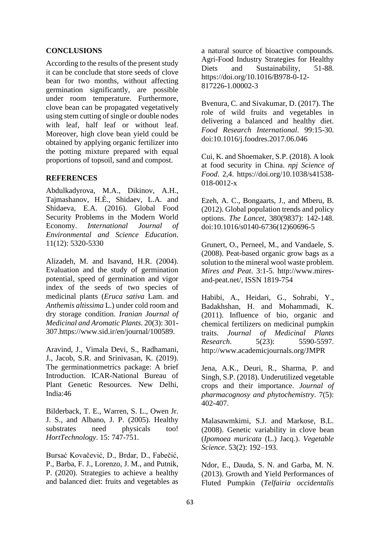## **CONCLUSIONS**

According to the results of the present study it can be conclude that store seeds of clove bean for two months, without affecting germination significantly, are possible under room temperature. Furthermore, clove bean can be propagated vegetatively using stem cutting of single or double nodes with leaf, half leaf or without leaf. Moreover, high clove bean yield could be obtained by applying organic fertilizer into the potting mixture prepared with equal proportions of topsoil, sand and compost.

# **REFERENCES**

Abdulkadyrova, M.A., Dikinov, A.H., Tajmashanov, H.È., Shidaev, L.A. and Shidaeva, E.A. (2016). Global Food Security Problems in the Modern World Economy. *International Journal of Environmental and Science Education*. 11(12): 5320-5330

Alizadeh, M. and Isavand, H.R. (2004). Evaluation and the study of germination potential, speed of germination and vigor index of the seeds of two species of medicinal plants (*Eruca sativa* Lam. and *Anthemis altissima* L.) under cold room and dry storage condition. *Iranian Journal of Medicinal and Aromatic Plants*. 20(3): 301- 307[.https://www.sid.ir/en/journal/100589.](https://www.sid.ir/en/journal/100589)

Aravind, J., Vimala Devi, S., Radhamani, J., Jacob, S.R. and Srinivasan, K. (2019). The germinationmetrics package: A brief Introduction. ICAR-National Bureau of Plant Genetic Resources. New Delhi, India:46

Bilderback, T. E., Warren, S. L., Owen Jr. J. S., and Albano, J. P. (2005). Healthy substrates need physicals too! *HortTechnology*. 15: 747-751.

Bursać Kovačević, D., Brdar, D., Fabečić, P., Barba, F. J., Lorenzo, J. M., and Putnik, P. (2020). Strategies to achieve a healthy and balanced diet: fruits and vegetables as a natural source of bioactive compounds. Agri-Food Industry Strategies for Healthy Diets and Sustainability, 51-88. [https://doi.org/10.1016/B978-0-12-](https://doi.org/10.1016/B978-0-12-817226-1.00002-3) [817226-1.00002-3](https://doi.org/10.1016/B978-0-12-817226-1.00002-3)

Bvenura, C. and Sivakumar, D. (2017). The role of wild fruits and vegetables in delivering a balanced and healthy diet. *Food Research International*. 99:15-30. doi:10.1016/j.foodres.2017.06.046

Cui, K. and Shoemaker, S.P. (2018). A look at food security in China. *npj Science of Food*. 2,4. [https://doi.org/10.1038/s41538-](https://doi.org/10.1038/s41538-018-0012-x) [018-0012-x](https://doi.org/10.1038/s41538-018-0012-x)

Ezeh, A. C., Bongaarts, J., and Mberu, B. (2012). Global population trends and policy options. *The Lancet*, 380(9837): 142-148. doi:10.1016/s0140-6736(12)60696-5

Grunert, O., Perneel, M., and Vandaele, S. (2008). Peat-based organic grow bags as a solution to the mineral wool waste problem. *Mires and Peat*. 3:1-5. http://www.miresand-peat.net/, ISSN 1819-754

Habibi, A., Heidari, G., Sohrabi, Y., Badakhshan, H. and Mohammadi, K. (2011). Influence of bio, organic and chemical fertilizers on medicinal pumpkin traits. *Journal of Medicinal Plants Research*. 5(23): 5590-5597. <http://www.academicjournals.org/JMPR>

Jena, A.K., Deuri, R., Sharma, P. and Singh, S.P. (2018). Underutilized vegetable crops and their importance. *Journal of pharmacognosy and phytochemistry*. 7(5): 402-407.

Malasawmkimi, S.J. and Markose, B.L. (2008). Genetic variability in clove bean (*Ipomoea muricata* (L.) Jacq.). *Vegetable Science*. 53(2): 192–193.

Ndor, E., Dauda, S. N. and Garba, M. N. (2013). Growth and Yield Performances of Fluted Pumpkin (*Telfairia occidentalis*